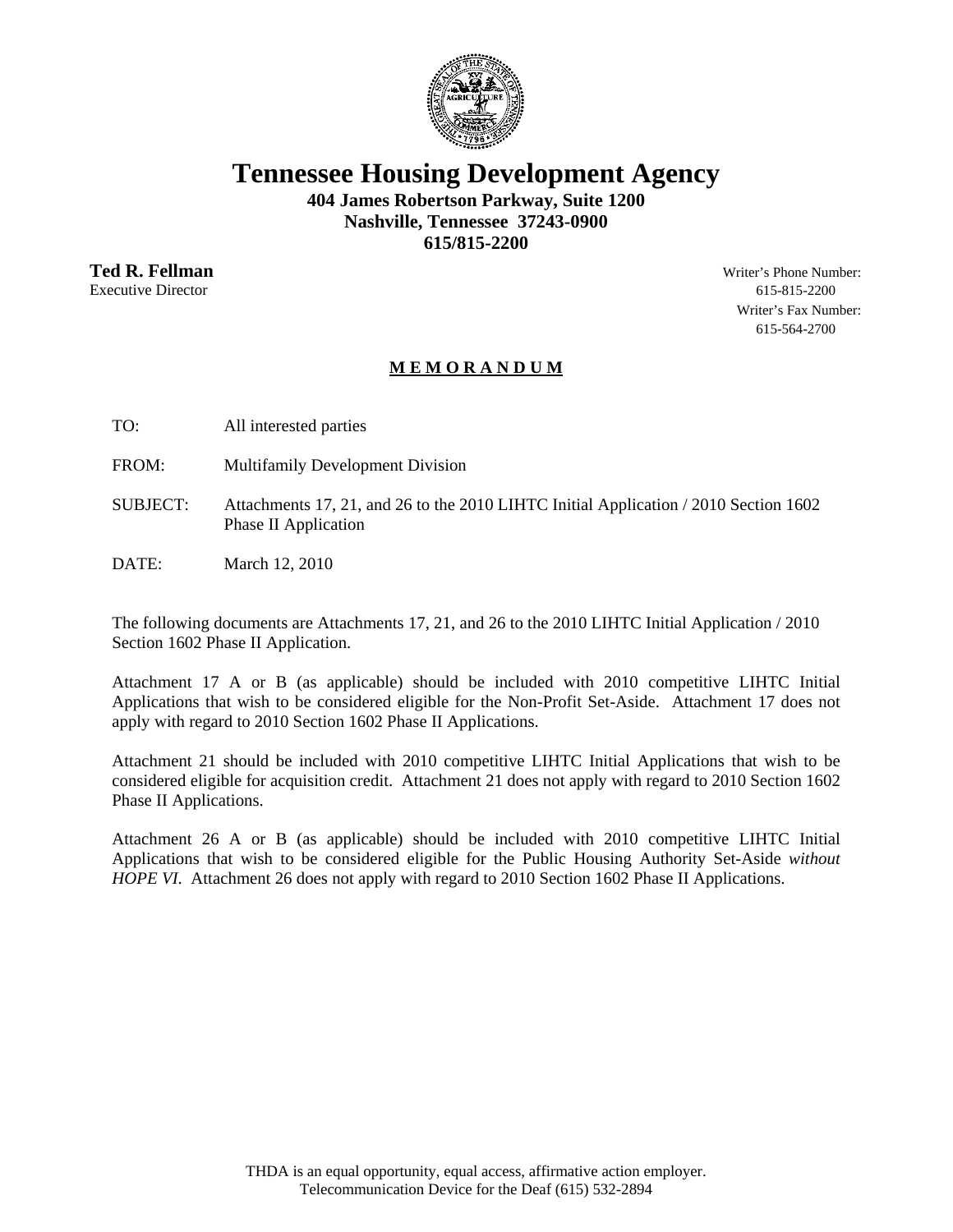

**Tennessee Housing Development Agency** 

**404 James Robertson Parkway, Suite 1200 Nashville, Tennessee 37243-0900 615/815-2200** 

**Ted R. Fellman** Writer's Phone Number: Executive Director 615-815-2200

Writer's Fax Number: 615-564-2700

# **M E M O R A N D U M**

TO: All interested parties

FROM: Multifamily Development Division

- SUBJECT: Attachments 17, 21, and 26 to the 2010 LIHTC Initial Application / 2010 Section 1602 Phase II Application
- DATE: March 12, 2010

The following documents are Attachments 17, 21, and 26 to the 2010 LIHTC Initial Application / 2010 Section 1602 Phase II Application.

Attachment 17 A or B (as applicable) should be included with 2010 competitive LIHTC Initial Applications that wish to be considered eligible for the Non-Profit Set-Aside. Attachment 17 does not apply with regard to 2010 Section 1602 Phase II Applications.

Attachment 21 should be included with 2010 competitive LIHTC Initial Applications that wish to be considered eligible for acquisition credit. Attachment 21 does not apply with regard to 2010 Section 1602 Phase II Applications.

Attachment 26 A or B (as applicable) should be included with 2010 competitive LIHTC Initial Applications that wish to be considered eligible for the Public Housing Authority Set-Aside *without HOPE VI.* Attachment 26 does not apply with regard to 2010 Section 1602 Phase II Applications.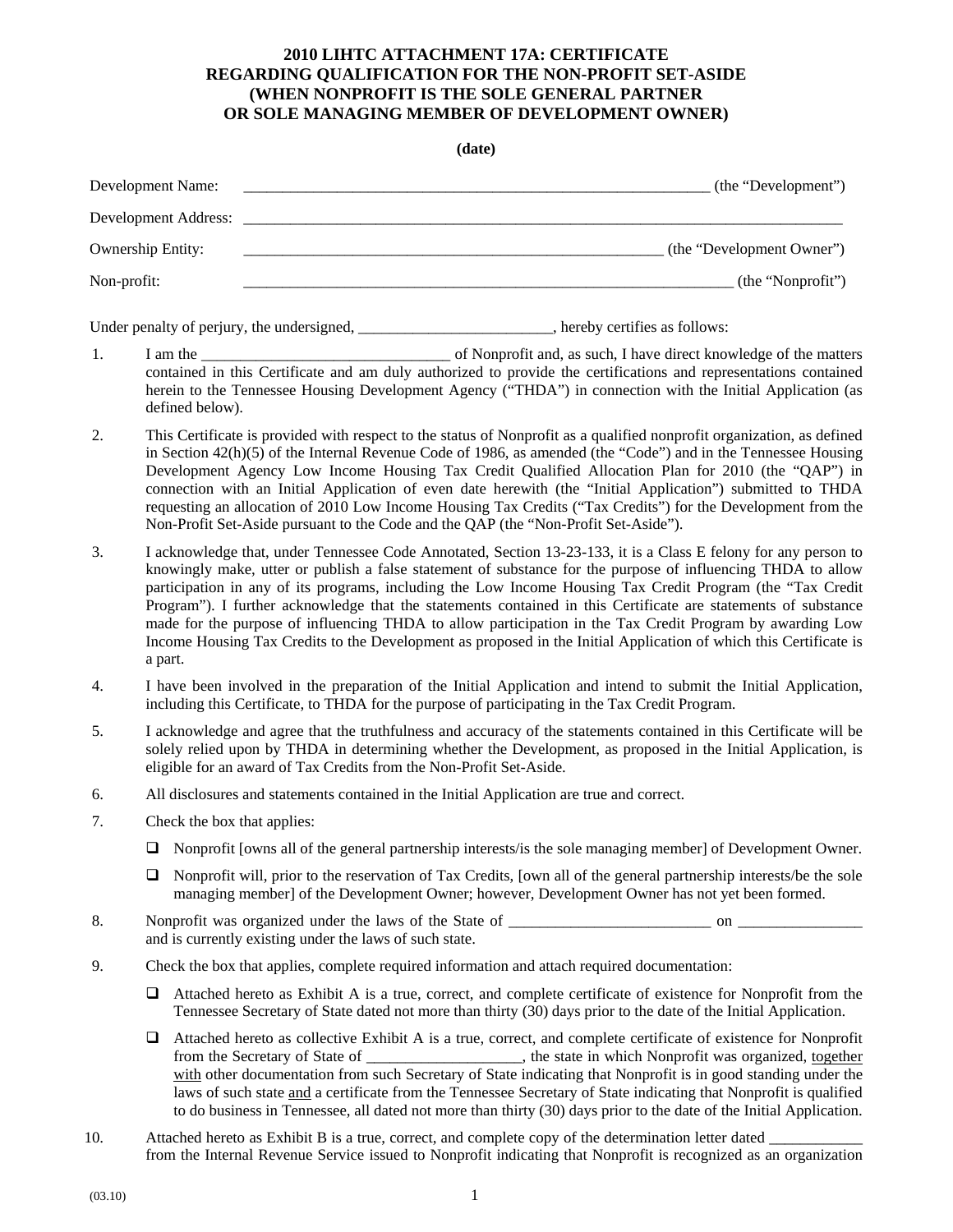### **2010 LIHTC ATTACHMENT 17A: CERTIFICATE REGARDING QUALIFICATION FOR THE NON-PROFIT SET-ASIDE (WHEN NONPROFIT IS THE SOLE GENERAL PARTNER OR SOLE MANAGING MEMBER OF DEVELOPMENT OWNER)**

#### **(date)**

| Development Name:                          | (the "Development")          |
|--------------------------------------------|------------------------------|
| Development Address:                       |                              |
| <b>Ownership Entity:</b>                   | (the "Development Owner")    |
| Non-profit:                                | (the "Nonprofit")            |
| Under penalty of perjury, the undersigned, | hereby certifies as follows: |

- 1. I am the \_\_\_\_\_\_\_\_\_\_\_\_\_\_\_\_\_\_\_\_\_\_\_\_\_\_\_\_\_\_\_\_ of Nonprofit and, as such, I have direct knowledge of the matters contained in this Certificate and am duly authorized to provide the certifications and representations contained herein to the Tennessee Housing Development Agency ("THDA") in connection with the Initial Application (as defined below).
- 2. This Certificate is provided with respect to the status of Nonprofit as a qualified nonprofit organization, as defined in Section 42(h)(5) of the Internal Revenue Code of 1986, as amended (the "Code") and in the Tennessee Housing Development Agency Low Income Housing Tax Credit Qualified Allocation Plan for 2010 (the "QAP") in connection with an Initial Application of even date herewith (the "Initial Application") submitted to THDA requesting an allocation of 2010 Low Income Housing Tax Credits ("Tax Credits") for the Development from the Non-Profit Set-Aside pursuant to the Code and the QAP (the "Non-Profit Set-Aside").
- 3. I acknowledge that, under Tennessee Code Annotated, Section 13-23-133, it is a Class E felony for any person to knowingly make, utter or publish a false statement of substance for the purpose of influencing THDA to allow participation in any of its programs, including the Low Income Housing Tax Credit Program (the "Tax Credit Program"). I further acknowledge that the statements contained in this Certificate are statements of substance made for the purpose of influencing THDA to allow participation in the Tax Credit Program by awarding Low Income Housing Tax Credits to the Development as proposed in the Initial Application of which this Certificate is a part.
- 4. I have been involved in the preparation of the Initial Application and intend to submit the Initial Application, including this Certificate, to THDA for the purpose of participating in the Tax Credit Program.
- 5. I acknowledge and agree that the truthfulness and accuracy of the statements contained in this Certificate will be solely relied upon by THDA in determining whether the Development, as proposed in the Initial Application, is eligible for an award of Tax Credits from the Non-Profit Set-Aside.
- 6. All disclosures and statements contained in the Initial Application are true and correct.
- 7. Check the box that applies:
	- Nonprofit [owns all of the general partnership interests/is the sole managing member] of Development Owner.
	- $\Box$  Nonprofit will, prior to the reservation of Tax Credits, [own all of the general partnership interests/be the sole managing member] of the Development Owner; however, Development Owner has not yet been formed.
- 8. Nonprofit was organized under the laws of the State of \_\_\_\_\_\_\_\_\_\_\_\_\_\_\_\_\_\_\_\_\_\_\_\_\_\_ on \_\_\_\_\_\_\_\_\_\_\_\_\_\_\_\_ and is currently existing under the laws of such state.
- 9. Check the box that applies, complete required information and attach required documentation:
	- Attached hereto as Exhibit A is a true, correct, and complete certificate of existence for Nonprofit from the Tennessee Secretary of State dated not more than thirty (30) days prior to the date of the Initial Application.
	- Attached hereto as collective Exhibit A is a true, correct, and complete certificate of existence for Nonprofit from the Secretary of State of \_\_\_\_\_\_\_\_\_\_\_\_\_\_\_\_\_\_\_\_, the state in which Nonprofit was organized, together with other documentation from such Secretary of State indicating that Nonprofit is in good standing under the laws of such state and a certificate from the Tennessee Secretary of State indicating that Nonprofit is qualified to do business in Tennessee, all dated not more than thirty (30) days prior to the date of the Initial Application.
- 10. Attached hereto as Exhibit B is a true, correct, and complete copy of the determination letter dated from the Internal Revenue Service issued to Nonprofit indicating that Nonprofit is recognized as an organization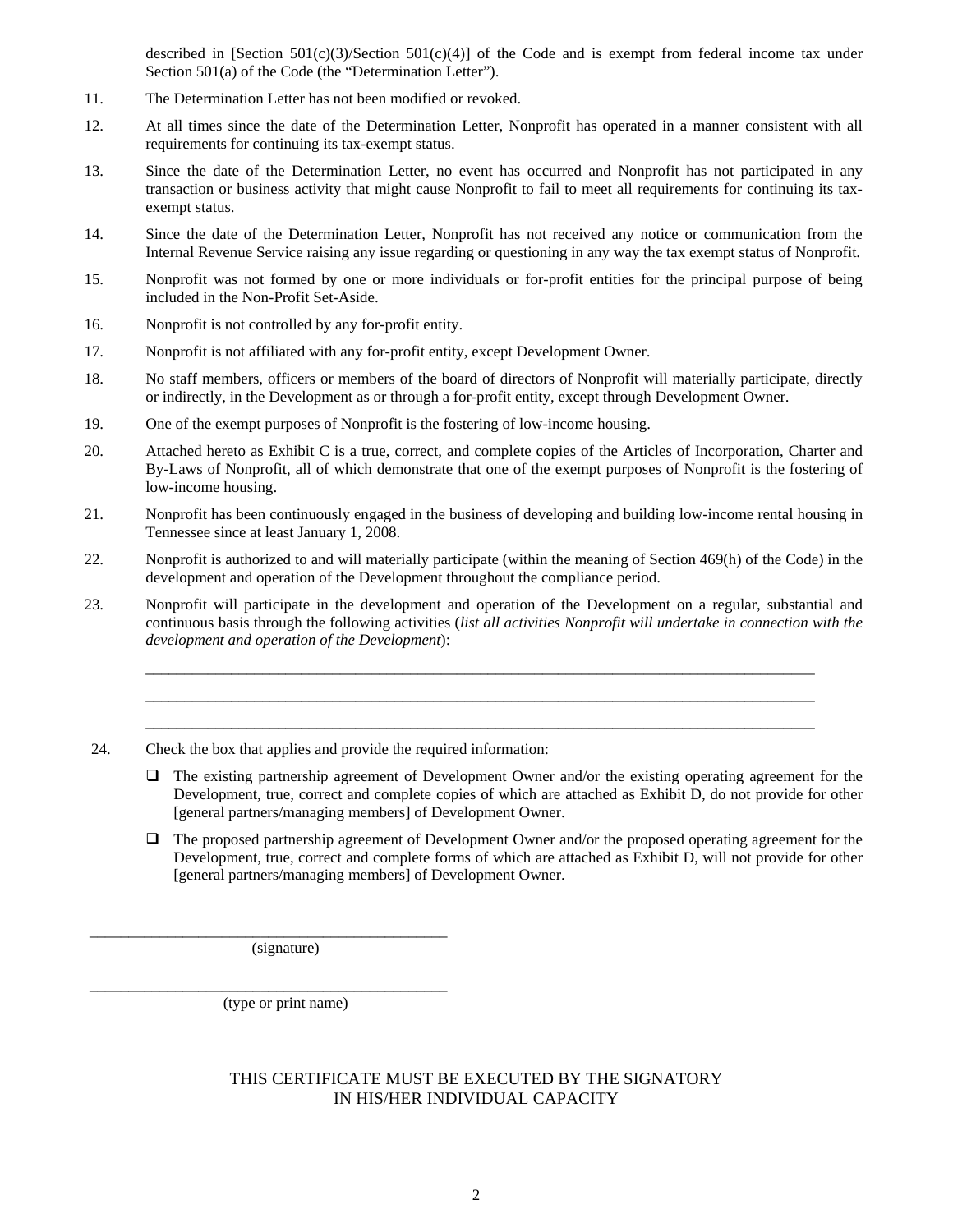described in [Section 501(c)(3)/Section 501(c)(4)] of the Code and is exempt from federal income tax under Section 501(a) of the Code (the "Determination Letter").

- 11. The Determination Letter has not been modified or revoked.
- 12. At all times since the date of the Determination Letter, Nonprofit has operated in a manner consistent with all requirements for continuing its tax-exempt status.
- 13. Since the date of the Determination Letter, no event has occurred and Nonprofit has not participated in any transaction or business activity that might cause Nonprofit to fail to meet all requirements for continuing its taxexempt status.
- 14. Since the date of the Determination Letter, Nonprofit has not received any notice or communication from the Internal Revenue Service raising any issue regarding or questioning in any way the tax exempt status of Nonprofit.
- 15. Nonprofit was not formed by one or more individuals or for-profit entities for the principal purpose of being included in the Non-Profit Set-Aside.
- 16. Nonprofit is not controlled by any for-profit entity.
- 17. Nonprofit is not affiliated with any for-profit entity, except Development Owner.
- 18. No staff members, officers or members of the board of directors of Nonprofit will materially participate, directly or indirectly, in the Development as or through a for-profit entity, except through Development Owner.
- 19. One of the exempt purposes of Nonprofit is the fostering of low-income housing.
- 20. Attached hereto as Exhibit C is a true, correct, and complete copies of the Articles of Incorporation, Charter and By-Laws of Nonprofit, all of which demonstrate that one of the exempt purposes of Nonprofit is the fostering of low-income housing.
- 21. Nonprofit has been continuously engaged in the business of developing and building low-income rental housing in Tennessee since at least January 1, 2008.
- 22. Nonprofit is authorized to and will materially participate (within the meaning of Section 469(h) of the Code) in the development and operation of the Development throughout the compliance period.
- 23. Nonprofit will participate in the development and operation of the Development on a regular, substantial and continuous basis through the following activities (*list all activities Nonprofit will undertake in connection with the development and operation of the Development*):

\_\_\_\_\_\_\_\_\_\_\_\_\_\_\_\_\_\_\_\_\_\_\_\_\_\_\_\_\_\_\_\_\_\_\_\_\_\_\_\_\_\_\_\_\_\_\_\_\_\_\_\_\_\_\_\_\_\_\_\_\_\_\_\_\_\_\_\_\_\_\_\_\_\_\_\_\_\_\_\_\_\_\_\_\_\_ \_\_\_\_\_\_\_\_\_\_\_\_\_\_\_\_\_\_\_\_\_\_\_\_\_\_\_\_\_\_\_\_\_\_\_\_\_\_\_\_\_\_\_\_\_\_\_\_\_\_\_\_\_\_\_\_\_\_\_\_\_\_\_\_\_\_\_\_\_\_\_\_\_\_\_\_\_\_\_\_\_\_\_\_\_\_ \_\_\_\_\_\_\_\_\_\_\_\_\_\_\_\_\_\_\_\_\_\_\_\_\_\_\_\_\_\_\_\_\_\_\_\_\_\_\_\_\_\_\_\_\_\_\_\_\_\_\_\_\_\_\_\_\_\_\_\_\_\_\_\_\_\_\_\_\_\_\_\_\_\_\_\_\_\_\_\_\_\_\_\_\_\_

- 24. Check the box that applies and provide the required information:
	- $\Box$  The existing partnership agreement of Development Owner and/or the existing operating agreement for the Development, true, correct and complete copies of which are attached as Exhibit D, do not provide for other [general partners/managing members] of Development Owner.
	- The proposed partnership agreement of Development Owner and/or the proposed operating agreement for the Development, true, correct and complete forms of which are attached as Exhibit D, will not provide for other [general partners/managing members] of Development Owner.

(signature)

\_\_\_\_\_\_\_\_\_\_\_\_\_\_\_\_\_\_\_\_\_\_\_\_\_\_\_\_\_\_\_\_\_\_\_\_\_\_\_\_\_\_\_\_\_\_

\_\_\_\_\_\_\_\_\_\_\_\_\_\_\_\_\_\_\_\_\_\_\_\_\_\_\_\_\_\_\_\_\_\_\_\_\_\_\_\_\_\_\_\_\_\_

(type or print name)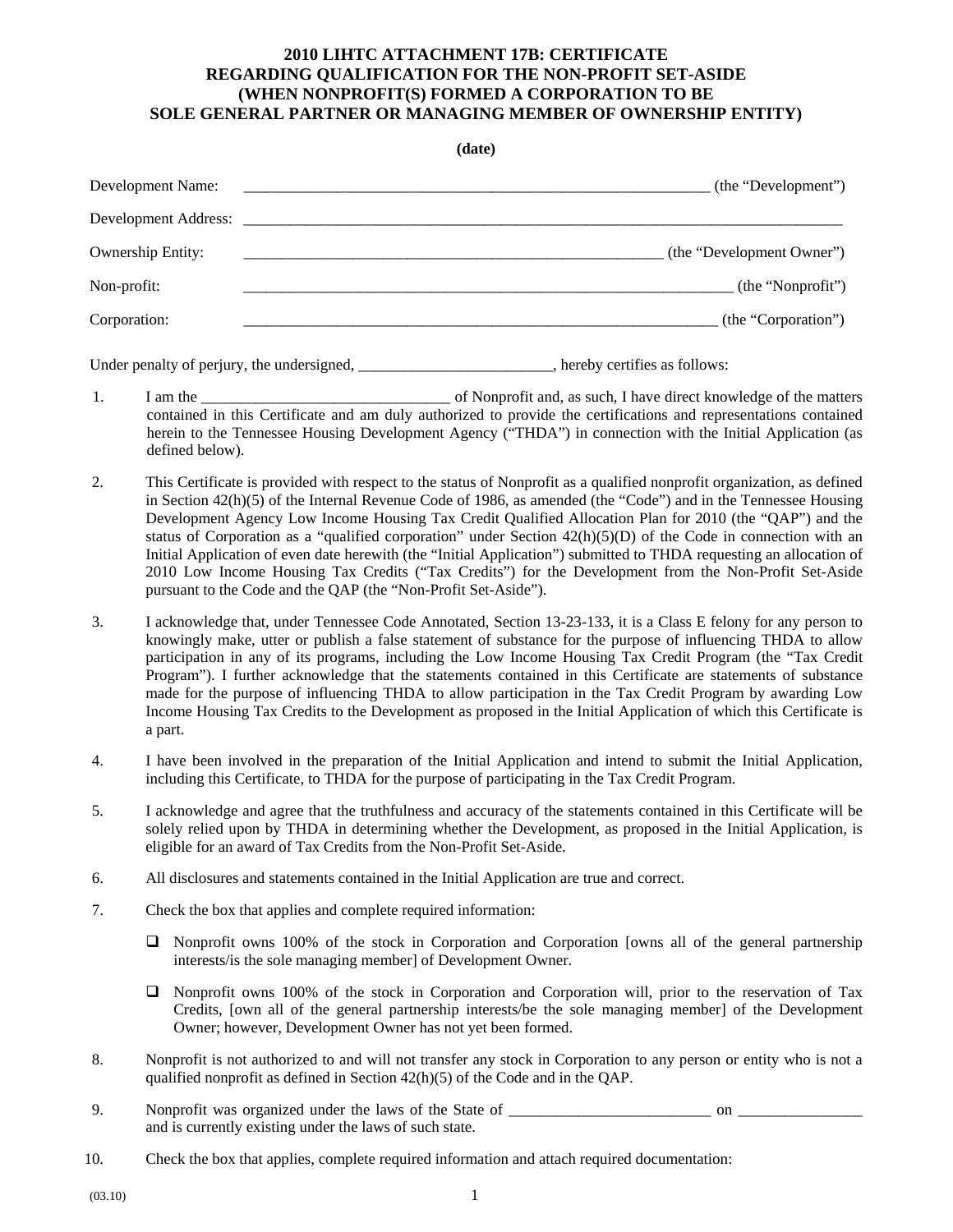#### **2010 LIHTC ATTACHMENT 17B: CERTIFICATE REGARDING QUALIFICATION FOR THE NON-PROFIT SET-ASIDE (WHEN NONPROFIT(S) FORMED A CORPORATION TO BE SOLE GENERAL PARTNER OR MANAGING MEMBER OF OWNERSHIP ENTITY)**

**(date)** 

| Development Name:              | (the "Development")       |
|--------------------------------|---------------------------|
| Development Address: _________ |                           |
| <b>Ownership Entity:</b>       | (the "Development Owner") |
| Non-profit:                    | (the "Nonprofit")         |
| Corporation:                   | (the "Corporation")       |

Under penalty of perjury, the undersigned, the same state of the set of the set of the undersigned, the set of the set of the set of the set of the set of the set of the set of the set of the set of the set of the set of t

- 1. I am the \_\_\_\_\_\_\_\_\_\_\_\_\_\_\_\_\_\_\_\_\_\_\_\_\_\_\_\_\_\_\_\_ of Nonprofit and, as such, I have direct knowledge of the matters contained in this Certificate and am duly authorized to provide the certifications and representations contained herein to the Tennessee Housing Development Agency ("THDA") in connection with the Initial Application (as defined below).
- 2. This Certificate is provided with respect to the status of Nonprofit as a qualified nonprofit organization, as defined in Section 42(h)(5) of the Internal Revenue Code of 1986, as amended (the "Code") and in the Tennessee Housing Development Agency Low Income Housing Tax Credit Qualified Allocation Plan for 2010 (the "QAP") and the status of Corporation as a "qualified corporation" under Section  $42(h)(5)(D)$  of the Code in connection with an Initial Application of even date herewith (the "Initial Application") submitted to THDA requesting an allocation of 2010 Low Income Housing Tax Credits ("Tax Credits") for the Development from the Non-Profit Set-Aside pursuant to the Code and the QAP (the "Non-Profit Set-Aside").
- 3. I acknowledge that, under Tennessee Code Annotated, Section 13-23-133, it is a Class E felony for any person to knowingly make, utter or publish a false statement of substance for the purpose of influencing THDA to allow participation in any of its programs, including the Low Income Housing Tax Credit Program (the "Tax Credit Program"). I further acknowledge that the statements contained in this Certificate are statements of substance made for the purpose of influencing THDA to allow participation in the Tax Credit Program by awarding Low Income Housing Tax Credits to the Development as proposed in the Initial Application of which this Certificate is a part.
- 4. I have been involved in the preparation of the Initial Application and intend to submit the Initial Application, including this Certificate, to THDA for the purpose of participating in the Tax Credit Program.
- 5. I acknowledge and agree that the truthfulness and accuracy of the statements contained in this Certificate will be solely relied upon by THDA in determining whether the Development, as proposed in the Initial Application, is eligible for an award of Tax Credits from the Non-Profit Set-Aside.
- 6. All disclosures and statements contained in the Initial Application are true and correct.
- 7. Check the box that applies and complete required information:
	- Nonprofit owns 100% of the stock in Corporation and Corporation [owns all of the general partnership interests/is the sole managing member] of Development Owner.
	- Nonprofit owns 100% of the stock in Corporation and Corporation will, prior to the reservation of Tax Credits, [own all of the general partnership interests/be the sole managing member] of the Development Owner; however, Development Owner has not yet been formed.
- 8. Nonprofit is not authorized to and will not transfer any stock in Corporation to any person or entity who is not a qualified nonprofit as defined in Section 42(h)(5) of the Code and in the QAP.
- 9. Nonprofit was organized under the laws of the State of \_\_\_\_\_\_\_\_\_\_\_\_\_\_\_\_\_\_\_\_\_\_\_\_\_\_ on \_\_\_\_\_\_\_\_\_\_\_\_\_\_\_\_ and is currently existing under the laws of such state.
- 10. Check the box that applies, complete required information and attach required documentation: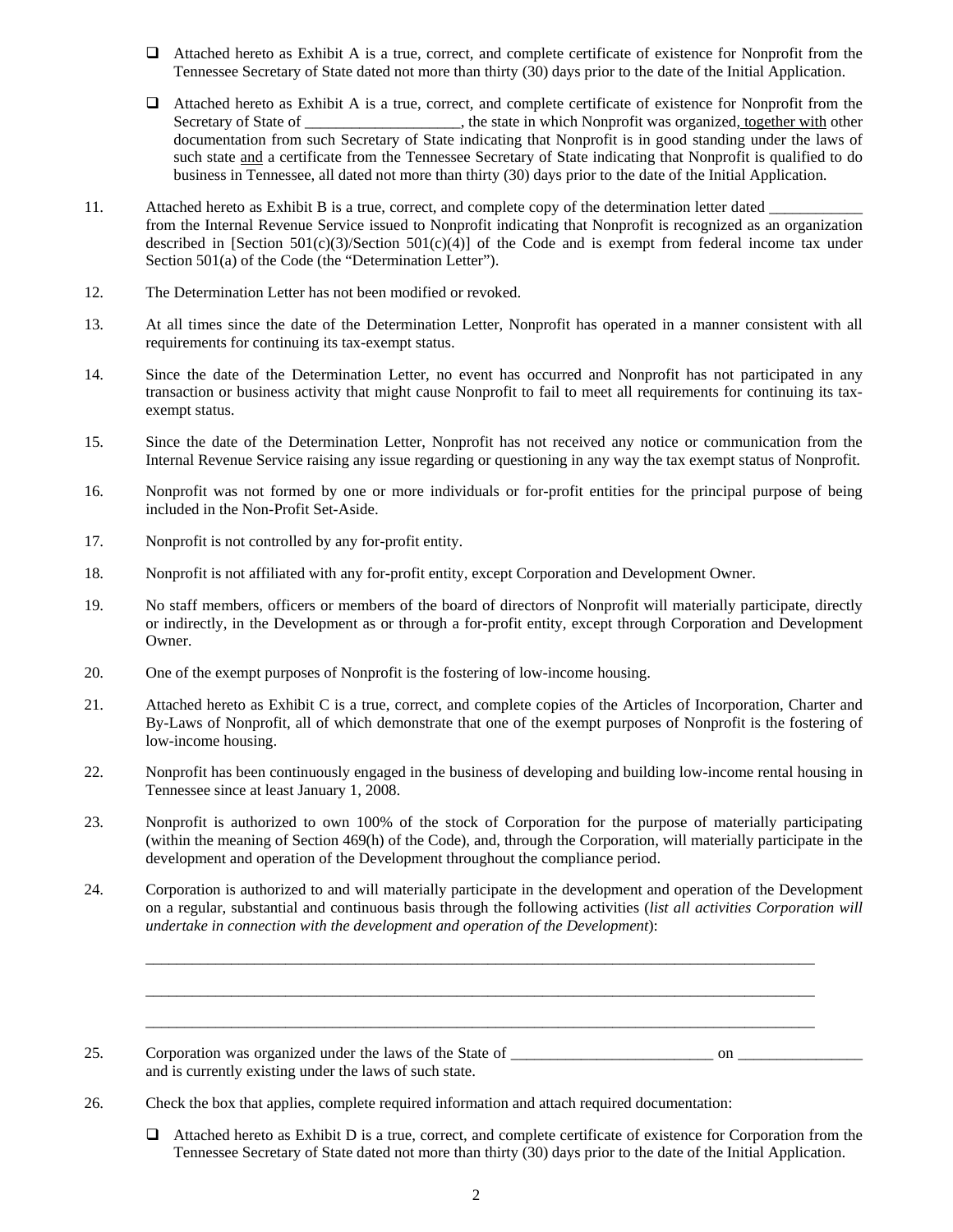- Attached hereto as Exhibit A is a true, correct, and complete certificate of existence for Nonprofit from the Tennessee Secretary of State dated not more than thirty (30) days prior to the date of the Initial Application.
- Attached hereto as Exhibit A is a true, correct, and complete certificate of existence for Nonprofit from the Secretary of State of \_\_\_\_\_\_\_\_\_\_\_\_\_, the state in which Nonprofit was organized, together with other documentation from such Secretary of State indicating that Nonprofit is in good standing under the laws of such state and a certificate from the Tennessee Secretary of State indicating that Nonprofit is qualified to do business in Tennessee, all dated not more than thirty (30) days prior to the date of the Initial Application.
- 11. Attached hereto as Exhibit B is a true, correct, and complete copy of the determination letter dated from the Internal Revenue Service issued to Nonprofit indicating that Nonprofit is recognized as an organization described in [Section 501(c)(3)/Section 501(c)(4)] of the Code and is exempt from federal income tax under Section 501(a) of the Code (the "Determination Letter").
- 12. The Determination Letter has not been modified or revoked.
- 13. At all times since the date of the Determination Letter, Nonprofit has operated in a manner consistent with all requirements for continuing its tax-exempt status.
- 14. Since the date of the Determination Letter, no event has occurred and Nonprofit has not participated in any transaction or business activity that might cause Nonprofit to fail to meet all requirements for continuing its taxexempt status.
- 15. Since the date of the Determination Letter, Nonprofit has not received any notice or communication from the Internal Revenue Service raising any issue regarding or questioning in any way the tax exempt status of Nonprofit.
- 16. Nonprofit was not formed by one or more individuals or for-profit entities for the principal purpose of being included in the Non-Profit Set-Aside.
- 17. Nonprofit is not controlled by any for-profit entity.
- 18. Nonprofit is not affiliated with any for-profit entity, except Corporation and Development Owner.
- 19. No staff members, officers or members of the board of directors of Nonprofit will materially participate, directly or indirectly, in the Development as or through a for-profit entity, except through Corporation and Development Owner.
- 20. One of the exempt purposes of Nonprofit is the fostering of low-income housing.
- 21. Attached hereto as Exhibit C is a true, correct, and complete copies of the Articles of Incorporation, Charter and By-Laws of Nonprofit, all of which demonstrate that one of the exempt purposes of Nonprofit is the fostering of low-income housing.
- 22. Nonprofit has been continuously engaged in the business of developing and building low-income rental housing in Tennessee since at least January 1, 2008.
- 23. Nonprofit is authorized to own 100% of the stock of Corporation for the purpose of materially participating (within the meaning of Section 469(h) of the Code), and, through the Corporation, will materially participate in the development and operation of the Development throughout the compliance period.
- 24. Corporation is authorized to and will materially participate in the development and operation of the Development on a regular, substantial and continuous basis through the following activities (*list all activities Corporation will undertake in connection with the development and operation of the Development*):

\_\_\_\_\_\_\_\_\_\_\_\_\_\_\_\_\_\_\_\_\_\_\_\_\_\_\_\_\_\_\_\_\_\_\_\_\_\_\_\_\_\_\_\_\_\_\_\_\_\_\_\_\_\_\_\_\_\_\_\_\_\_\_\_\_\_\_\_\_\_\_\_\_\_\_\_\_\_\_\_\_\_\_\_\_\_

\_\_\_\_\_\_\_\_\_\_\_\_\_\_\_\_\_\_\_\_\_\_\_\_\_\_\_\_\_\_\_\_\_\_\_\_\_\_\_\_\_\_\_\_\_\_\_\_\_\_\_\_\_\_\_\_\_\_\_\_\_\_\_\_\_\_\_\_\_\_\_\_\_\_\_\_\_\_\_\_\_\_\_\_\_\_

\_\_\_\_\_\_\_\_\_\_\_\_\_\_\_\_\_\_\_\_\_\_\_\_\_\_\_\_\_\_\_\_\_\_\_\_\_\_\_\_\_\_\_\_\_\_\_\_\_\_\_\_\_\_\_\_\_\_\_\_\_\_\_\_\_\_\_\_\_\_\_\_\_\_\_\_\_\_\_\_\_\_\_\_\_\_

- 25. Corporation was organized under the laws of the State of \_\_\_\_\_\_\_\_\_\_\_\_\_\_\_\_\_\_\_\_\_\_\_\_\_\_ on and is currently existing under the laws of such state.
- 26. Check the box that applies, complete required information and attach required documentation:
	- $\Box$  Attached hereto as Exhibit D is a true, correct, and complete certificate of existence for Corporation from the Tennessee Secretary of State dated not more than thirty (30) days prior to the date of the Initial Application.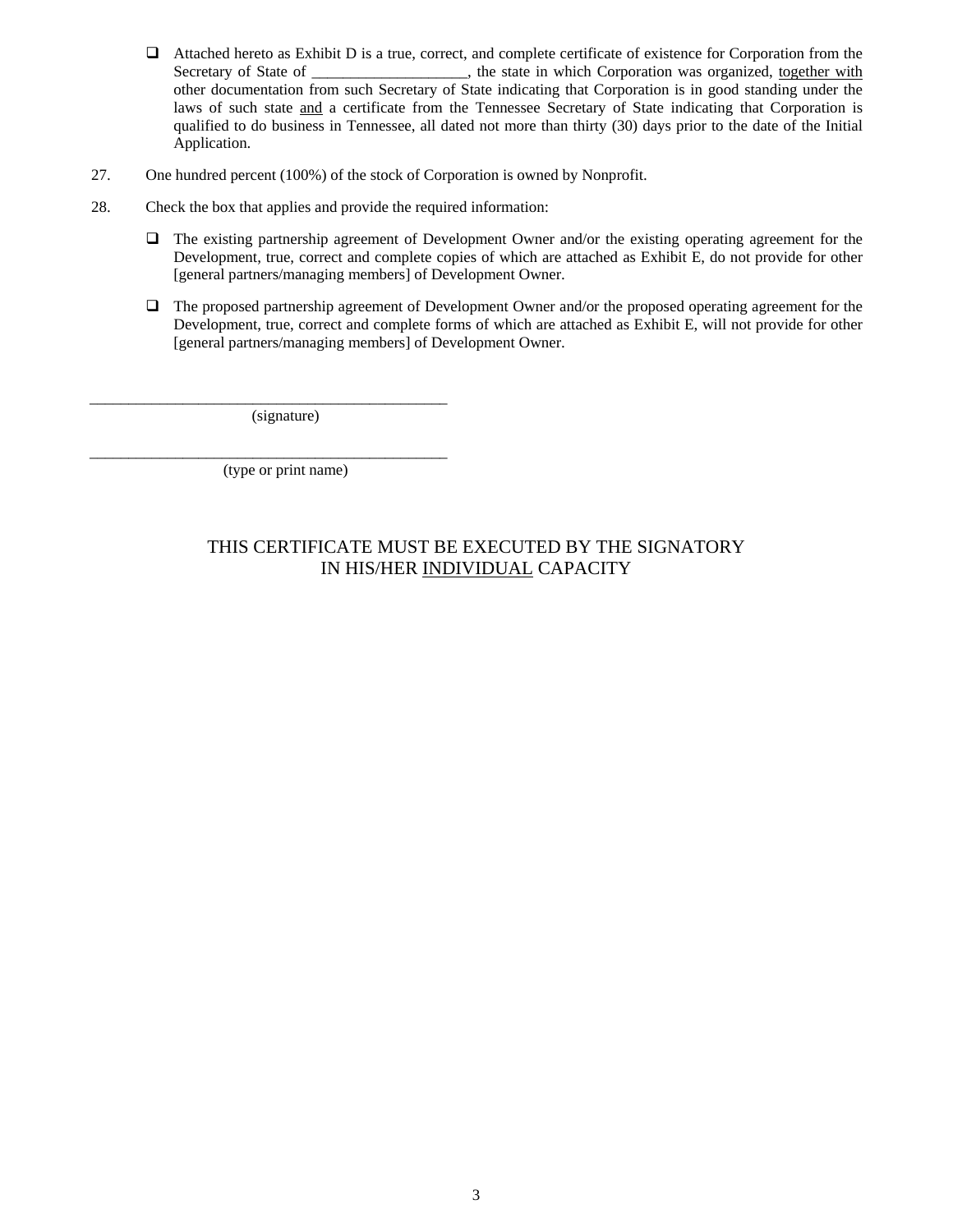- $\Box$  Attached hereto as Exhibit D is a true, correct, and complete certificate of existence for Corporation from the Secretary of State of \_\_\_\_\_\_\_\_\_\_\_\_\_\_\_\_, the state in which Corporation was organized, together with other documentation from such Secretary of State indicating that Corporation is in good standing under the laws of such state and a certificate from the Tennessee Secretary of State indicating that Corporation is qualified to do business in Tennessee, all dated not more than thirty (30) days prior to the date of the Initial Application.
- 27. One hundred percent (100%) of the stock of Corporation is owned by Nonprofit.
- 28. Check the box that applies and provide the required information:
	- The existing partnership agreement of Development Owner and/or the existing operating agreement for the Development, true, correct and complete copies of which are attached as Exhibit E, do not provide for other [general partners/managing members] of Development Owner.
	- The proposed partnership agreement of Development Owner and/or the proposed operating agreement for the Development, true, correct and complete forms of which are attached as Exhibit E, will not provide for other [general partners/managing members] of Development Owner.

(signature)

\_\_\_\_\_\_\_\_\_\_\_\_\_\_\_\_\_\_\_\_\_\_\_\_\_\_\_\_\_\_\_\_\_\_\_\_\_\_\_\_\_\_\_\_\_\_

\_\_\_\_\_\_\_\_\_\_\_\_\_\_\_\_\_\_\_\_\_\_\_\_\_\_\_\_\_\_\_\_\_\_\_\_\_\_\_\_\_\_\_\_\_\_ (type or print name)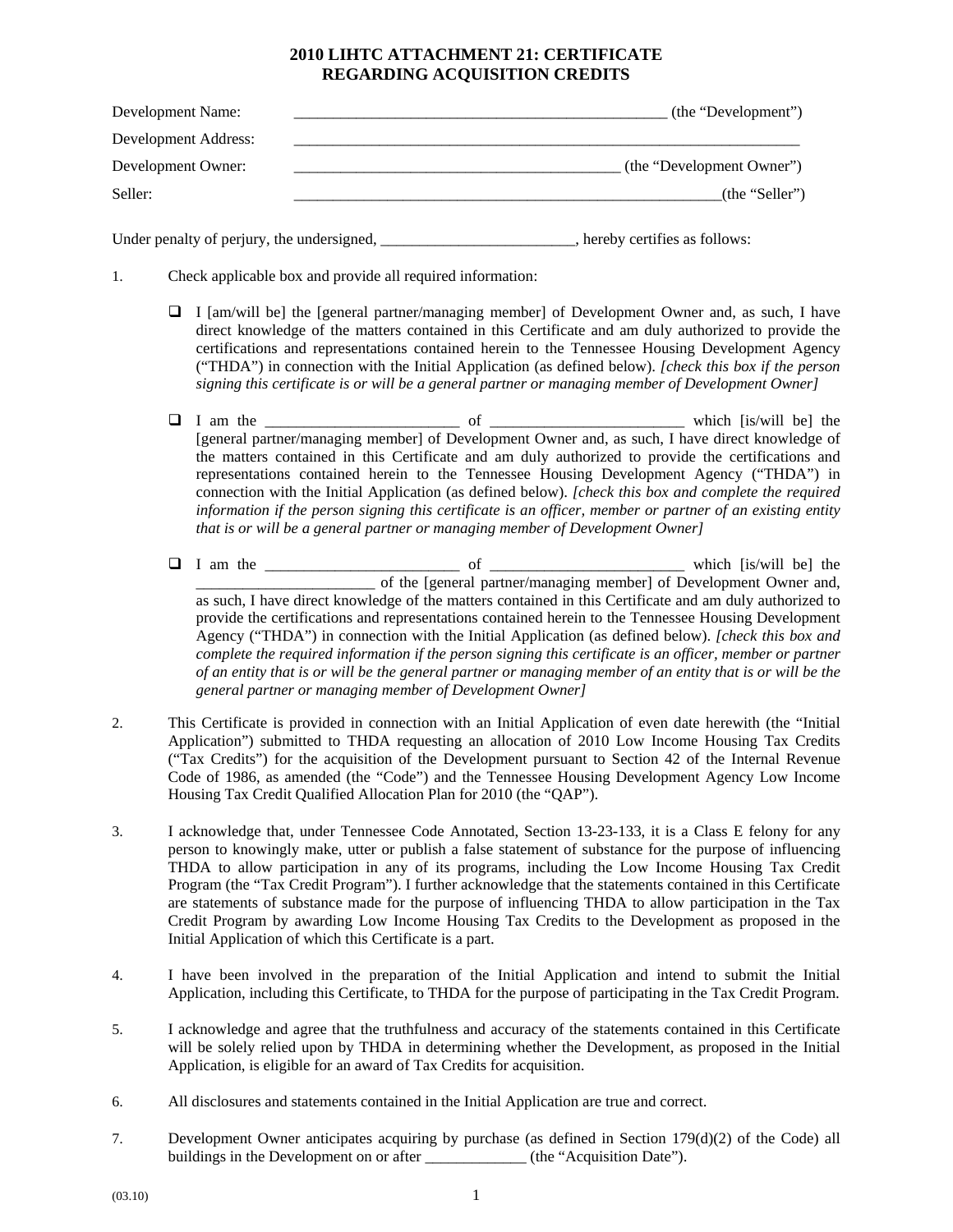## **2010 LIHTC ATTACHMENT 21: CERTIFICATE REGARDING ACQUISITION CREDITS**

| Development Name:    | (the "Development")       |
|----------------------|---------------------------|
| Development Address: |                           |
| Development Owner:   | (the "Development Owner") |
| Seller:              | (the "Seller")            |

Under penalty of perjury, the undersigned, \_\_\_\_\_\_\_\_\_\_\_\_\_\_\_\_\_\_\_\_\_\_\_\_\_, hereby certifies as follows:

- 1. Check applicable box and provide all required information:
	- $\Box$  I [am/will be] the [general partner/managing member] of Development Owner and, as such, I have direct knowledge of the matters contained in this Certificate and am duly authorized to provide the certifications and representations contained herein to the Tennessee Housing Development Agency ("THDA") in connection with the Initial Application (as defined below). *[check this box if the person signing this certificate is or will be a general partner or managing member of Development Owner]*
	- I am the \_\_\_\_\_\_\_\_\_\_\_\_\_\_\_\_\_\_\_\_\_\_\_\_\_ of \_\_\_\_\_\_\_\_\_\_\_\_\_\_\_\_\_\_\_\_\_\_\_\_\_ which [is/will be] the [general partner/managing member] of Development Owner and, as such, I have direct knowledge of the matters contained in this Certificate and am duly authorized to provide the certifications and representations contained herein to the Tennessee Housing Development Agency ("THDA") in connection with the Initial Application (as defined below). *[check this box and complete the required information if the person signing this certificate is an officer, member or partner of an existing entity that is or will be a general partner or managing member of Development Owner]*
	- I am the \_\_\_\_\_\_\_\_\_\_\_\_\_\_\_\_\_\_\_\_\_\_\_\_\_ of \_\_\_\_\_\_\_\_\_\_\_\_\_\_\_\_\_\_\_\_\_\_\_\_\_ which [is/will be] the \_\_\_\_\_\_\_\_\_\_\_\_\_\_\_\_\_\_\_\_\_\_\_ of the [general partner/managing member] of Development Owner and, as such, I have direct knowledge of the matters contained in this Certificate and am duly authorized to provide the certifications and representations contained herein to the Tennessee Housing Development Agency ("THDA") in connection with the Initial Application (as defined below). *[check this box and complete the required information if the person signing this certificate is an officer, member or partner of an entity that is or will be the general partner or managing member of an entity that is or will be the general partner or managing member of Development Owner]*
- 2. This Certificate is provided in connection with an Initial Application of even date herewith (the "Initial Application") submitted to THDA requesting an allocation of 2010 Low Income Housing Tax Credits ("Tax Credits") for the acquisition of the Development pursuant to Section 42 of the Internal Revenue Code of 1986, as amended (the "Code") and the Tennessee Housing Development Agency Low Income Housing Tax Credit Qualified Allocation Plan for 2010 (the "QAP").
- 3. I acknowledge that, under Tennessee Code Annotated, Section 13-23-133, it is a Class E felony for any person to knowingly make, utter or publish a false statement of substance for the purpose of influencing THDA to allow participation in any of its programs, including the Low Income Housing Tax Credit Program (the "Tax Credit Program"). I further acknowledge that the statements contained in this Certificate are statements of substance made for the purpose of influencing THDA to allow participation in the Tax Credit Program by awarding Low Income Housing Tax Credits to the Development as proposed in the Initial Application of which this Certificate is a part.
- 4. I have been involved in the preparation of the Initial Application and intend to submit the Initial Application, including this Certificate, to THDA for the purpose of participating in the Tax Credit Program.
- 5. I acknowledge and agree that the truthfulness and accuracy of the statements contained in this Certificate will be solely relied upon by THDA in determining whether the Development, as proposed in the Initial Application, is eligible for an award of Tax Credits for acquisition.
- 6. All disclosures and statements contained in the Initial Application are true and correct.
- 7. Development Owner anticipates acquiring by purchase (as defined in Section 179(d)(2) of the Code) all buildings in the Development on or after \_\_\_\_\_\_\_\_\_\_\_\_\_\_ (the "Acquisition Date").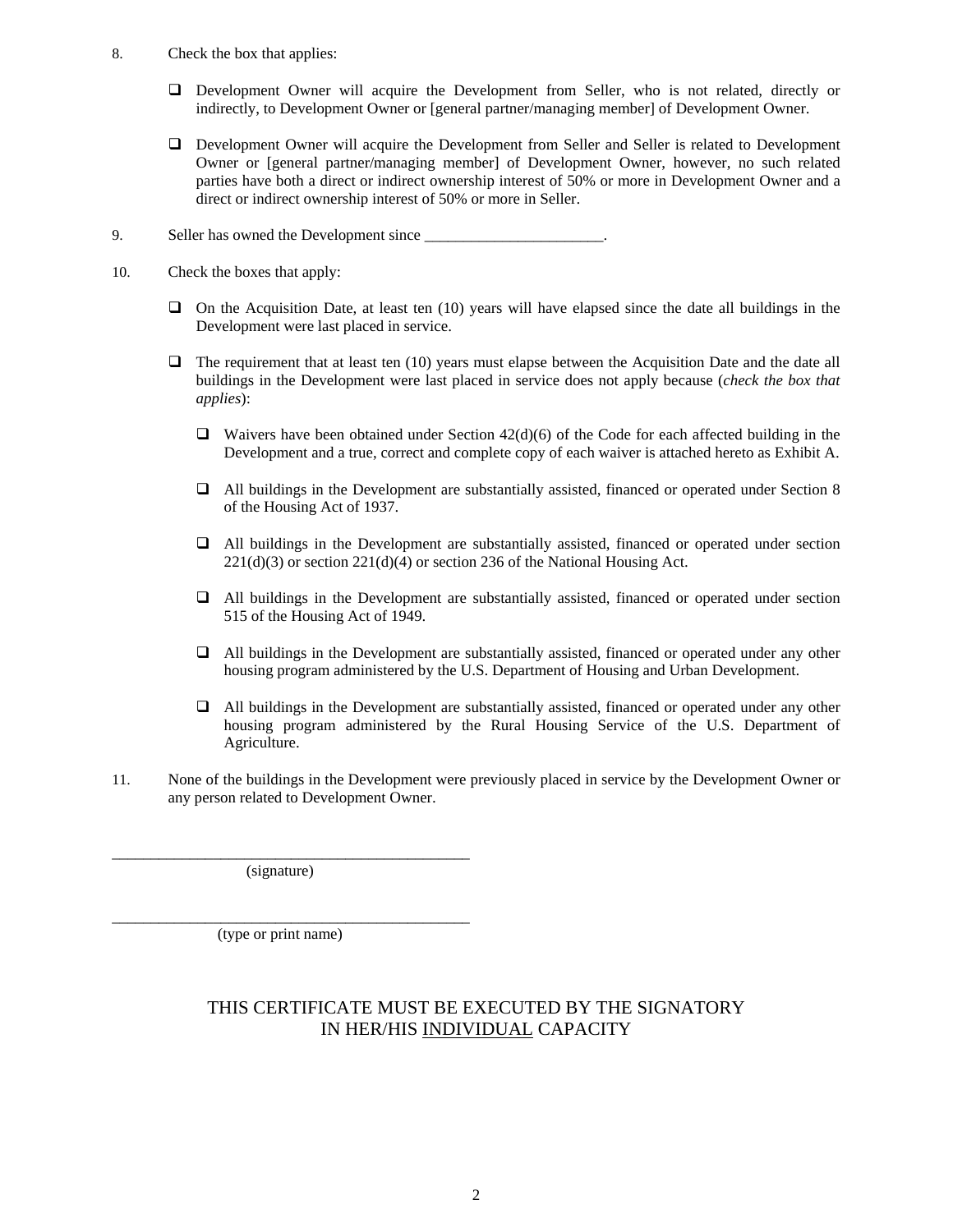- 8. Check the box that applies:
	- Development Owner will acquire the Development from Seller, who is not related, directly or indirectly, to Development Owner or [general partner/managing member] of Development Owner.
	- Development Owner will acquire the Development from Seller and Seller is related to Development Owner or [general partner/managing member] of Development Owner, however, no such related parties have both a direct or indirect ownership interest of 50% or more in Development Owner and a direct or indirect ownership interest of 50% or more in Seller.
- 9. Seller has owned the Development since  $\blacksquare$
- 10. Check the boxes that apply:
	- $\Box$  On the Acquisition Date, at least ten (10) years will have elapsed since the date all buildings in the Development were last placed in service.
	- $\Box$  The requirement that at least ten (10) years must elapse between the Acquisition Date and the date all buildings in the Development were last placed in service does not apply because (*check the box that applies*):
		- $\Box$  Waivers have been obtained under Section 42(d)(6) of the Code for each affected building in the Development and a true, correct and complete copy of each waiver is attached hereto as Exhibit A.
		- All buildings in the Development are substantially assisted, financed or operated under Section 8 of the Housing Act of 1937.
		- All buildings in the Development are substantially assisted, financed or operated under section  $221(d)(3)$  or section  $221(d)(4)$  or section 236 of the National Housing Act.
		- All buildings in the Development are substantially assisted, financed or operated under section 515 of the Housing Act of 1949.
		- $\Box$  All buildings in the Development are substantially assisted, financed or operated under any other housing program administered by the U.S. Department of Housing and Urban Development.
		- All buildings in the Development are substantially assisted, financed or operated under any other housing program administered by the Rural Housing Service of the U.S. Department of Agriculture.
- 11. None of the buildings in the Development were previously placed in service by the Development Owner or any person related to Development Owner.

(signature)

\_\_\_\_\_\_\_\_\_\_\_\_\_\_\_\_\_\_\_\_\_\_\_\_\_\_\_\_\_\_\_\_\_\_\_\_\_\_\_\_\_\_\_\_\_\_

\_\_\_\_\_\_\_\_\_\_\_\_\_\_\_\_\_\_\_\_\_\_\_\_\_\_\_\_\_\_\_\_\_\_\_\_\_\_\_\_\_\_\_\_\_\_

(type or print name)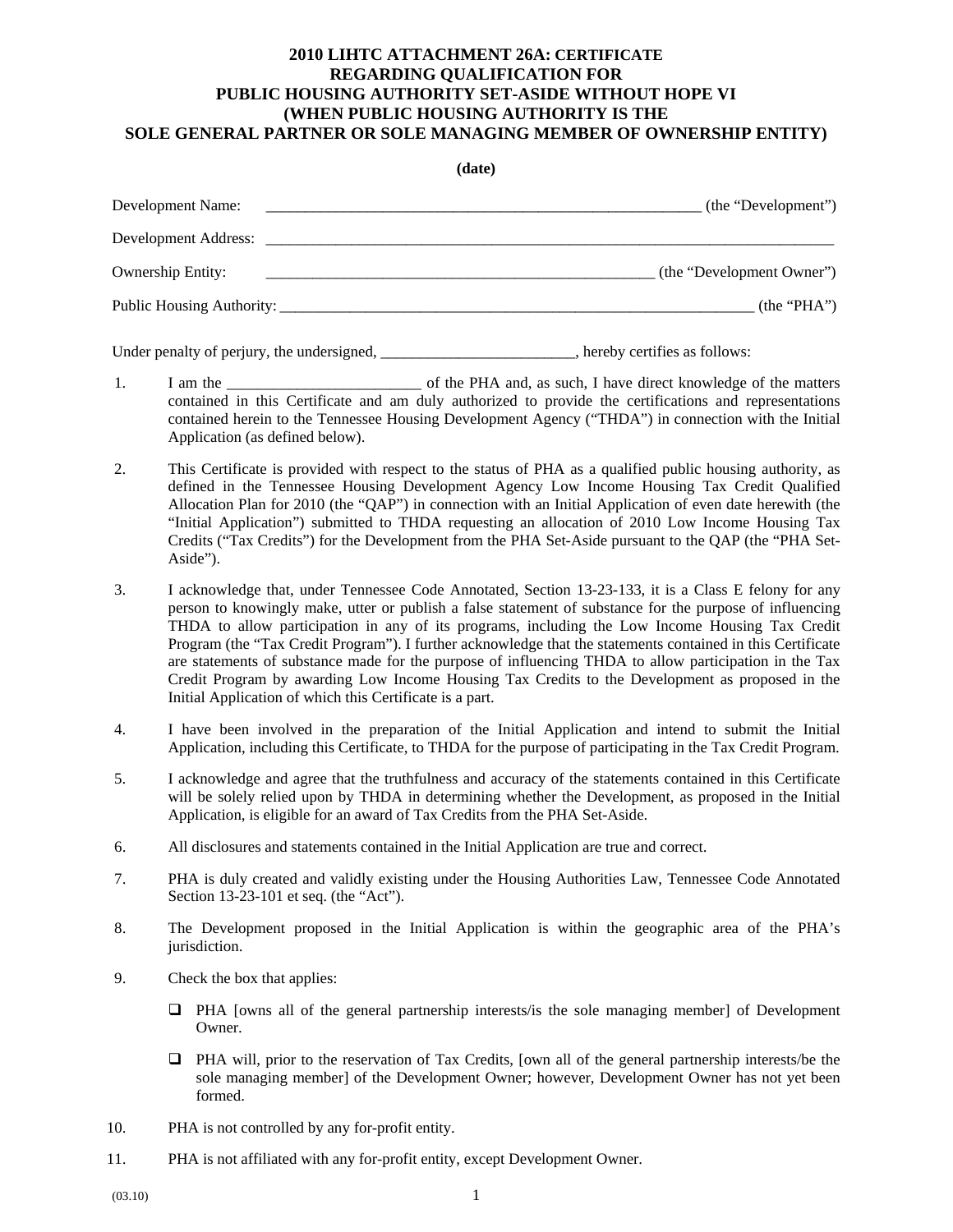## **2010 LIHTC ATTACHMENT 26A: CERTIFICATE REGARDING QUALIFICATION FOR PUBLIC HOUSING AUTHORITY SET-ASIDE WITHOUT HOPE VI (WHEN PUBLIC HOUSING AUTHORITY IS THE SOLE GENERAL PARTNER OR SOLE MANAGING MEMBER OF OWNERSHIP ENTITY)**

**(date)** 

| ,                                            |
|----------------------------------------------|
| (the "Development")                          |
|                                              |
| (the "Development Owner")                    |
| Public Housing Authority:<br>(the " $PHA$ ") |
|                                              |

Under penalty of perjury, the undersigned, \_\_\_\_\_\_\_\_\_\_\_\_\_\_\_\_\_\_\_\_\_\_\_\_\_, hereby certifies as follows:

- 1. I am the \_\_\_\_\_\_\_\_\_\_\_\_\_\_\_\_\_\_\_\_\_\_\_\_\_ of the PHA and, as such, I have direct knowledge of the matters contained in this Certificate and am duly authorized to provide the certifications and representations contained herein to the Tennessee Housing Development Agency ("THDA") in connection with the Initial Application (as defined below).
- 2. This Certificate is provided with respect to the status of PHA as a qualified public housing authority, as defined in the Tennessee Housing Development Agency Low Income Housing Tax Credit Qualified Allocation Plan for 2010 (the "QAP") in connection with an Initial Application of even date herewith (the "Initial Application") submitted to THDA requesting an allocation of 2010 Low Income Housing Tax Credits ("Tax Credits") for the Development from the PHA Set-Aside pursuant to the QAP (the "PHA Set-Aside").
- 3. I acknowledge that, under Tennessee Code Annotated, Section 13-23-133, it is a Class E felony for any person to knowingly make, utter or publish a false statement of substance for the purpose of influencing THDA to allow participation in any of its programs, including the Low Income Housing Tax Credit Program (the "Tax Credit Program"). I further acknowledge that the statements contained in this Certificate are statements of substance made for the purpose of influencing THDA to allow participation in the Tax Credit Program by awarding Low Income Housing Tax Credits to the Development as proposed in the Initial Application of which this Certificate is a part.
- 4. I have been involved in the preparation of the Initial Application and intend to submit the Initial Application, including this Certificate, to THDA for the purpose of participating in the Tax Credit Program.
- 5. I acknowledge and agree that the truthfulness and accuracy of the statements contained in this Certificate will be solely relied upon by THDA in determining whether the Development, as proposed in the Initial Application, is eligible for an award of Tax Credits from the PHA Set-Aside.
- 6. All disclosures and statements contained in the Initial Application are true and correct.
- 7. PHA is duly created and validly existing under the Housing Authorities Law, Tennessee Code Annotated Section 13-23-101 et seq. (the "Act").
- 8. The Development proposed in the Initial Application is within the geographic area of the PHA's jurisdiction.
- 9. Check the box that applies:
	- PHA [owns all of the general partnership interests/is the sole managing member] of Development Owner.
	- PHA will, prior to the reservation of Tax Credits, [own all of the general partnership interests/be the sole managing member] of the Development Owner; however, Development Owner has not yet been formed.
- 10. PHA is not controlled by any for-profit entity.
- 11. PHA is not affiliated with any for-profit entity, except Development Owner.
- $(03.10)$  1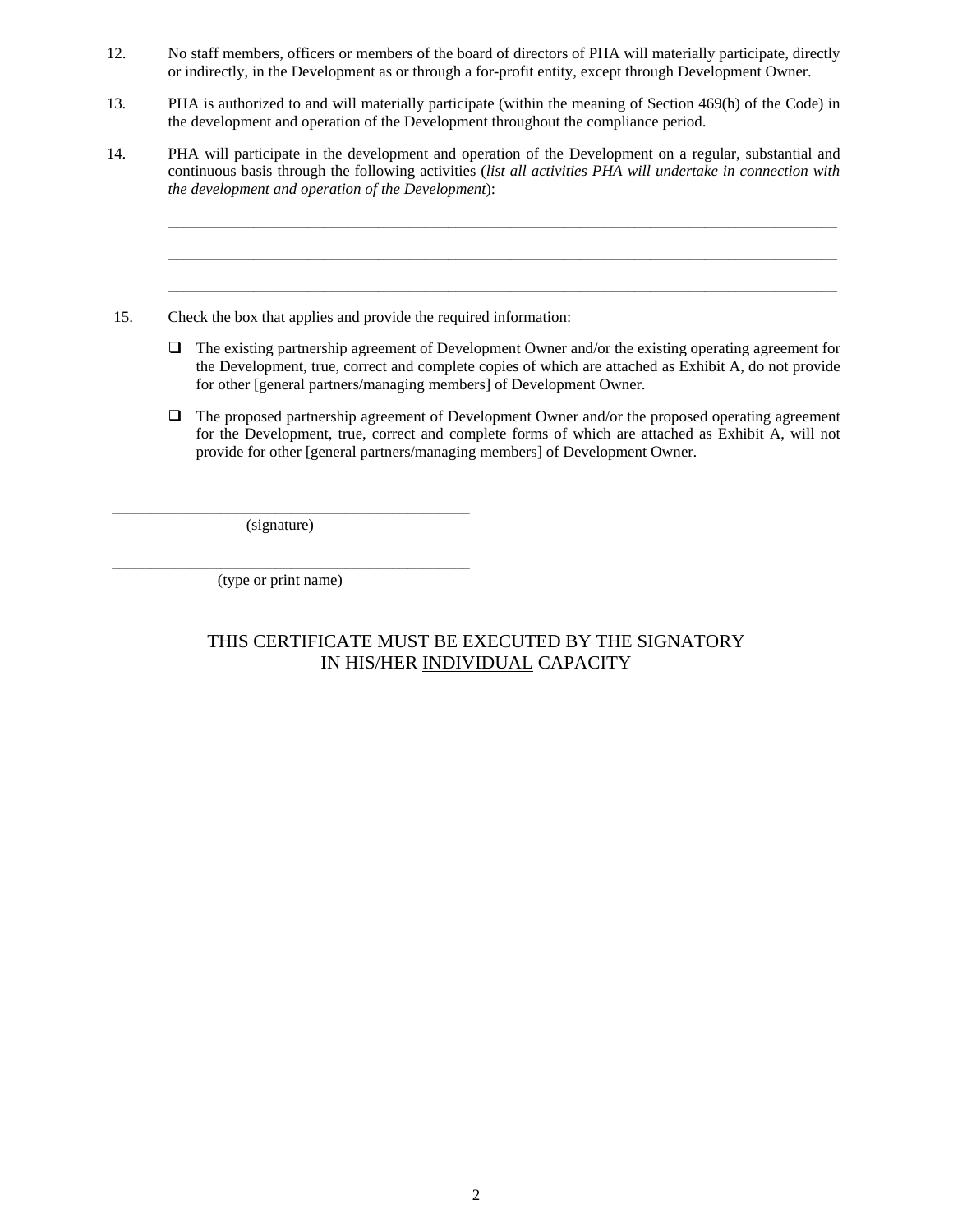- 12. No staff members, officers or members of the board of directors of PHA will materially participate, directly or indirectly, in the Development as or through a for-profit entity, except through Development Owner.
- 13. PHA is authorized to and will materially participate (within the meaning of Section 469(h) of the Code) in the development and operation of the Development throughout the compliance period.
- 14. PHA will participate in the development and operation of the Development on a regular, substantial and continuous basis through the following activities (*list all activities PHA will undertake in connection with the development and operation of the Development*):
- 15. Check the box that applies and provide the required information:
	- $\Box$  The existing partnership agreement of Development Owner and/or the existing operating agreement for the Development, true, correct and complete copies of which are attached as Exhibit A, do not provide for other [general partners/managing members] of Development Owner.

\_\_\_\_\_\_\_\_\_\_\_\_\_\_\_\_\_\_\_\_\_\_\_\_\_\_\_\_\_\_\_\_\_\_\_\_\_\_\_\_\_\_\_\_\_\_\_\_\_\_\_\_\_\_\_\_\_\_\_\_\_\_\_\_\_\_\_\_\_\_\_\_\_\_\_\_\_\_\_\_\_\_\_\_\_\_

\_\_\_\_\_\_\_\_\_\_\_\_\_\_\_\_\_\_\_\_\_\_\_\_\_\_\_\_\_\_\_\_\_\_\_\_\_\_\_\_\_\_\_\_\_\_\_\_\_\_\_\_\_\_\_\_\_\_\_\_\_\_\_\_\_\_\_\_\_\_\_\_\_\_\_\_\_\_\_\_\_\_\_\_\_\_

\_\_\_\_\_\_\_\_\_\_\_\_\_\_\_\_\_\_\_\_\_\_\_\_\_\_\_\_\_\_\_\_\_\_\_\_\_\_\_\_\_\_\_\_\_\_\_\_\_\_\_\_\_\_\_\_\_\_\_\_\_\_\_\_\_\_\_\_\_\_\_\_\_\_\_\_\_\_\_\_\_\_\_\_\_\_

 The proposed partnership agreement of Development Owner and/or the proposed operating agreement for the Development, true, correct and complete forms of which are attached as Exhibit A, will not provide for other [general partners/managing members] of Development Owner.

(signature)

\_\_\_\_\_\_\_\_\_\_\_\_\_\_\_\_\_\_\_\_\_\_\_\_\_\_\_\_\_\_\_\_\_\_\_\_\_\_\_\_\_\_\_\_\_\_

\_\_\_\_\_\_\_\_\_\_\_\_\_\_\_\_\_\_\_\_\_\_\_\_\_\_\_\_\_\_\_\_\_\_\_\_\_\_\_\_\_\_\_\_\_\_

(type or print name)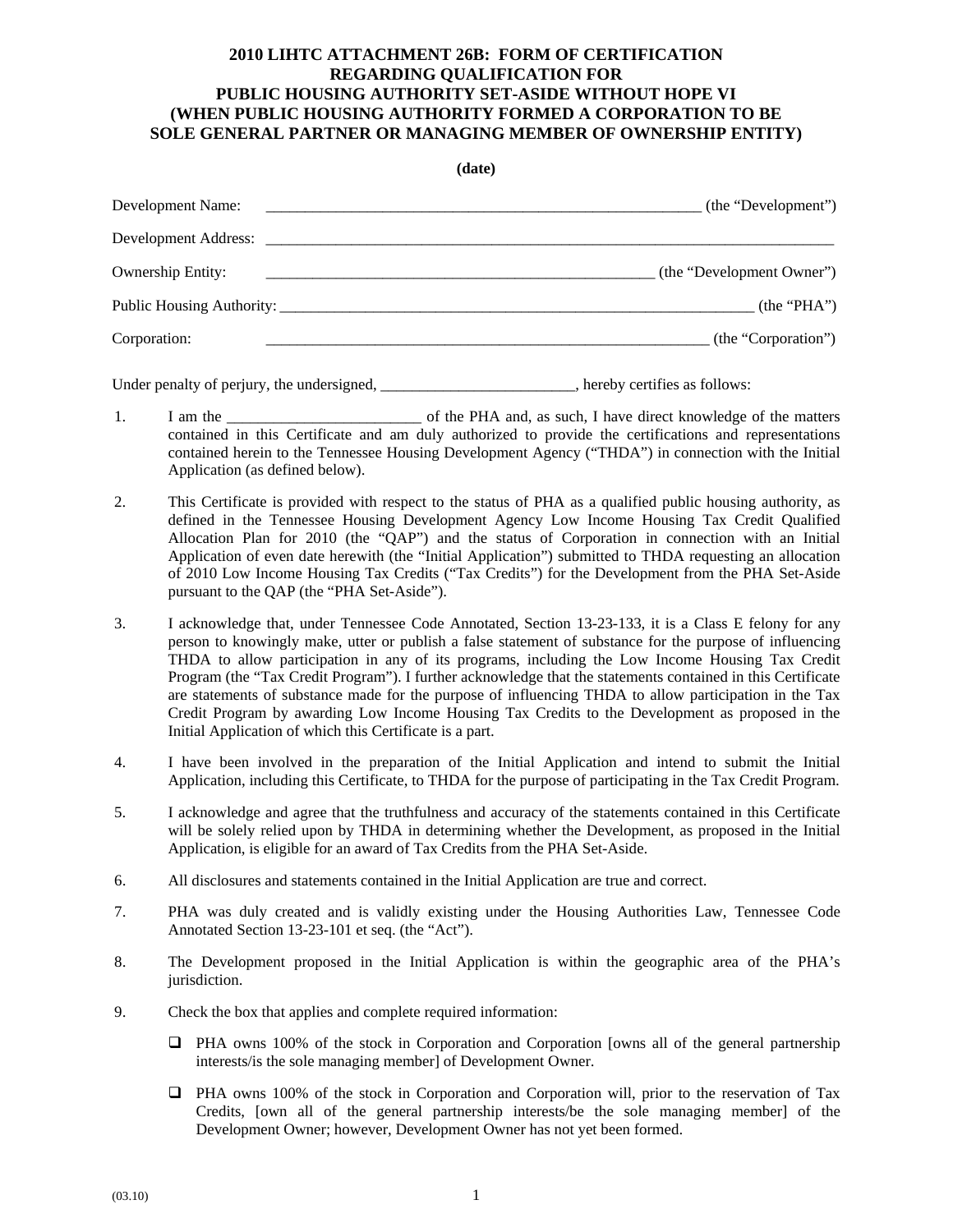### **2010 LIHTC ATTACHMENT 26B: FORM OF CERTIFICATION REGARDING QUALIFICATION FOR PUBLIC HOUSING AUTHORITY SET-ASIDE WITHOUT HOPE VI (WHEN PUBLIC HOUSING AUTHORITY FORMED A CORPORATION TO BE SOLE GENERAL PARTNER OR MANAGING MEMBER OF OWNERSHIP ENTITY)**

**(date)** 

| $($ uale $)$              |                           |
|---------------------------|---------------------------|
| Development Name:         | (the "Development")       |
| Development Address:      |                           |
| Ownership Entity:         | (the "Development Owner") |
| Public Housing Authority: | (the 'PHA'')              |
| Corporation:              | (the "Corporation")       |

Under penalty of perjury, the undersigned, \_\_\_\_\_\_\_\_\_\_\_\_\_\_\_\_\_\_\_\_\_\_, hereby certifies as follows:

- 1. I am the \_\_\_\_\_\_\_\_\_\_\_\_\_\_\_\_\_\_\_\_\_\_\_\_\_ of the PHA and, as such, I have direct knowledge of the matters contained in this Certificate and am duly authorized to provide the certifications and representations contained herein to the Tennessee Housing Development Agency ("THDA") in connection with the Initial Application (as defined below).
- 2. This Certificate is provided with respect to the status of PHA as a qualified public housing authority, as defined in the Tennessee Housing Development Agency Low Income Housing Tax Credit Qualified Allocation Plan for 2010 (the "QAP") and the status of Corporation in connection with an Initial Application of even date herewith (the "Initial Application") submitted to THDA requesting an allocation of 2010 Low Income Housing Tax Credits ("Tax Credits") for the Development from the PHA Set-Aside pursuant to the QAP (the "PHA Set-Aside").
- 3. I acknowledge that, under Tennessee Code Annotated, Section 13-23-133, it is a Class E felony for any person to knowingly make, utter or publish a false statement of substance for the purpose of influencing THDA to allow participation in any of its programs, including the Low Income Housing Tax Credit Program (the "Tax Credit Program"). I further acknowledge that the statements contained in this Certificate are statements of substance made for the purpose of influencing THDA to allow participation in the Tax Credit Program by awarding Low Income Housing Tax Credits to the Development as proposed in the Initial Application of which this Certificate is a part.
- 4. I have been involved in the preparation of the Initial Application and intend to submit the Initial Application, including this Certificate, to THDA for the purpose of participating in the Tax Credit Program.
- 5. I acknowledge and agree that the truthfulness and accuracy of the statements contained in this Certificate will be solely relied upon by THDA in determining whether the Development, as proposed in the Initial Application, is eligible for an award of Tax Credits from the PHA Set-Aside.
- 6. All disclosures and statements contained in the Initial Application are true and correct.
- 7. PHA was duly created and is validly existing under the Housing Authorities Law, Tennessee Code Annotated Section 13-23-101 et seq. (the "Act").
- 8. The Development proposed in the Initial Application is within the geographic area of the PHA's jurisdiction.
- 9. Check the box that applies and complete required information:
	- PHA owns 100% of the stock in Corporation and Corporation [owns all of the general partnership interests/is the sole managing member] of Development Owner.
	- PHA owns 100% of the stock in Corporation and Corporation will, prior to the reservation of Tax Credits, [own all of the general partnership interests/be the sole managing member] of the Development Owner; however, Development Owner has not yet been formed.